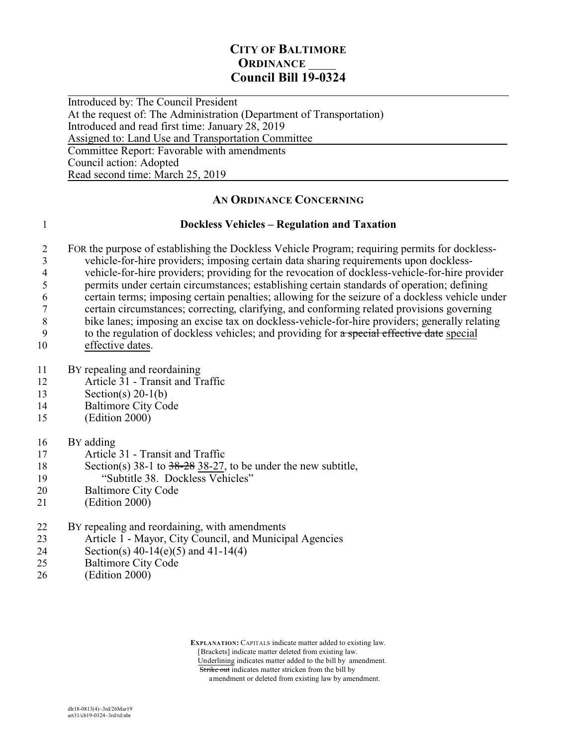### **CITY OF BALTIMORE ORDINANCE Council Bill 19-0324**

 $\overline{a}$ Introduced by: The Council President At the request of: The Administration (Department of Transportation) Introduced and read first time: January 28, 2019 Assigned to: Land Use and Transportation Committee Committee Report: Favorable with amendments Council action: Adopted Read second time: March 25, 2019

### **AN ORDINANCE CONCERNING**

### 1 **Dockless Vehicles – Regulation and Taxation**

- 2 FOR the purpose of establishing the Dockless Vehicle Program; requiring permits for dockless-3<br>vehicle-for-hire providers; imposing certain data sharing requirements upon dockless-<br>vehicle-for-hire providers: providing for the revocation of dockless-vehicle-for-hire pr 4 vehicle-for-hire providers; providing for the revocation of dockless-vehicle-for-hire provider<br>5 permits under certain circumstances; establishing certain standards of operation; defining 5 permits under certain circumstances; establishing certain standards of operation; defining 6 certain terms; imposing certain penalties; allowing for the seizure of a dockless vehicle under
- 7 certain circumstances; correcting, clarifying, and conforming related provisions governing
- 8 bike lanes; imposing an excise tax on dockless-vehicle-for-hire providers; generally relating
- 9 to the regulation of dockless vehicles; and providing for a special effective date special 10 effective dates.
- 11 BY repealing and reordaining
- 12 Article 31 Transit and Traffic
- 13 Section(s) 20-1(b)
- 14 Baltimore City Code
- 15 (Edition 2000)
- 16 BY adding
- 17 Article 31 Transit and Traffic
- 18 Section(s) 38-1 to 38-28 38-27, to be under the new subtitle,
- 19 "Subtitle 38. Dockless Vehicles"
- 20 Baltimore City Code
- 21 (Edition 2000)

### 22 BY repealing and reordaining, with amendments

- 23 Article 1 Mayor, City Council, and Municipal Agencies
- 24 Section(s) 40-14(e)(5) and 41-14(4)
- 25 Baltimore City Code
- 26 (Edition 2000)

 **EXPLANATION:** CAPITALS indicate matter added to existing law. [Brackets] indicate matter deleted from existing law. Underlining indicates matter added to the bill by amendment. Strike out indicates matter stricken from the bill by amendment or deleted from existing law by amendment.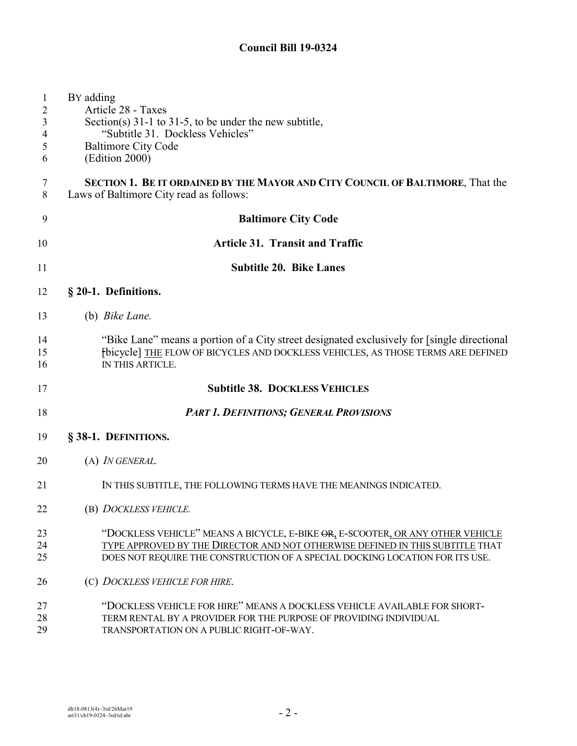| $\mathbf{1}$<br>2<br>3<br>4<br>5<br>6 | BY adding<br>Article 28 - Taxes<br>Section(s) $31-1$ to $31-5$ , to be under the new subtitle,<br>"Subtitle 31. Dockless Vehicles"<br><b>Baltimore City Code</b><br>(Edition 2000)                                                              |
|---------------------------------------|-------------------------------------------------------------------------------------------------------------------------------------------------------------------------------------------------------------------------------------------------|
| 7<br>8                                | <b>SECTION 1. BE IT ORDAINED BY THE MAYOR AND CITY COUNCIL OF BALTIMORE, That the</b><br>Laws of Baltimore City read as follows:                                                                                                                |
| 9                                     | <b>Baltimore City Code</b>                                                                                                                                                                                                                      |
| 10                                    | <b>Article 31. Transit and Traffic</b>                                                                                                                                                                                                          |
| 11                                    | <b>Subtitle 20. Bike Lanes</b>                                                                                                                                                                                                                  |
| 12                                    | § 20-1. Definitions.                                                                                                                                                                                                                            |
| 13                                    | (b) Bike Lane.                                                                                                                                                                                                                                  |
| 14<br>15<br>16                        | "Bike Lane" means a portion of a City street designated exclusively for [single directional]<br>fbicycle] THE FLOW OF BICYCLES AND DOCKLESS VEHICLES, AS THOSE TERMS ARE DEFINED<br>IN THIS ARTICLE.                                            |
| 17                                    | <b>Subtitle 38. DOCKLESS VEHICLES</b>                                                                                                                                                                                                           |
| 18                                    | <b>PART 1. DEFINITIONS; GENERAL PROVISIONS</b>                                                                                                                                                                                                  |
| 19                                    | § 38-1. DEFINITIONS.                                                                                                                                                                                                                            |
| 20                                    | (A) <i>IN GENERAL</i> .                                                                                                                                                                                                                         |
| 21                                    | IN THIS SUBTITLE, THE FOLLOWING TERMS HAVE THE MEANINGS INDICATED.                                                                                                                                                                              |
| 22                                    | (B) DOCKLESS VEHICLE.                                                                                                                                                                                                                           |
| 23<br>24<br>25                        | "DOCKLESS VEHICLE" MEANS A BICYCLE, E-BIKE OR, E-SCOOTER, OR ANY OTHER VEHICLE<br>TYPE APPROVED BY THE DIRECTOR AND NOT OTHERWISE DEFINED IN THIS SUBTITLE THAT<br>DOES NOT REQUIRE THE CONSTRUCTION OF A SPECIAL DOCKING LOCATION FOR ITS USE. |
| 26                                    | (C) DOCKLESS VEHICLE FOR HIRE.                                                                                                                                                                                                                  |
| 27<br>28                              | "DOCKLESS VEHICLE FOR HIRE" MEANS A DOCKLESS VEHICLE AVAILABLE FOR SHORT-<br>TERM RENTAL BY A PROVIDER FOR THE PURPOSE OF PROVIDING INDIVIDUAL                                                                                                  |

TRANSPORTATION ON A PUBLIC RIGHT-OF-WAY.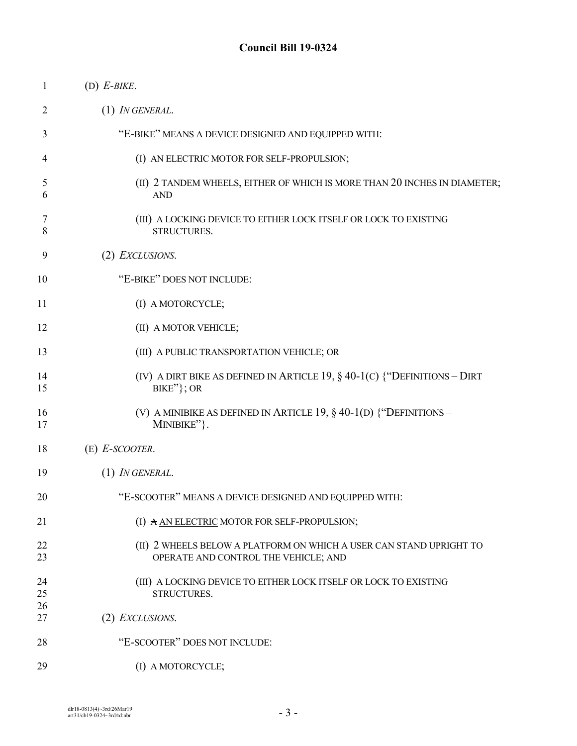| 1        | $(D)$ E-BIKE.                                                                                               |
|----------|-------------------------------------------------------------------------------------------------------------|
| 2        | $(1)$ IN GENERAL.                                                                                           |
| 3        | "E-BIKE" MEANS A DEVICE DESIGNED AND EQUIPPED WITH:                                                         |
| 4        | (I) AN ELECTRIC MOTOR FOR SELF-PROPULSION;                                                                  |
| 5<br>6   | (II) 2 TANDEM WHEELS, EITHER OF WHICH IS MORE THAN 20 INCHES IN DIAMETER;<br><b>AND</b>                     |
| 7<br>8   | (III) A LOCKING DEVICE TO EITHER LOCK ITSELF OR LOCK TO EXISTING<br>STRUCTURES.                             |
| 9        | (2) EXCLUSIONS.                                                                                             |
| 10       | "E-BIKE" DOES NOT INCLUDE:                                                                                  |
| 11       | (I) A MOTORCYCLE;                                                                                           |
| 12       | (II) A MOTOR VEHICLE;                                                                                       |
| 13       | (III) A PUBLIC TRANSPORTATION VEHICLE; OR                                                                   |
| 14<br>15 | (IV) A DIRT BIKE AS DEFINED IN ARTICLE 19, $\S$ 40-1(C) {"DEFINITIONS - DIRT<br>BIKE"}; OR                  |
| 16<br>17 | (V) A MINIBIKE AS DEFINED IN ARTICLE 19, $\S$ 40-1(D) $\$ "DEFINITIONS –<br>MINIBIKE"}.                     |
| 18       | $(E)$ E-SCOOTER.                                                                                            |
| 19       | (1) IN GENERAL.                                                                                             |
| 20       | "E-SCOOTER" MEANS A DEVICE DESIGNED AND EQUIPPED WITH:                                                      |
| 21       | (I) A AN ELECTRIC MOTOR FOR SELF-PROPULSION;                                                                |
| 22<br>23 | (II) 2 WHEELS BELOW A PLATFORM ON WHICH A USER CAN STAND UPRIGHT TO<br>OPERATE AND CONTROL THE VEHICLE; AND |
| 24<br>25 | (III) A LOCKING DEVICE TO EITHER LOCK ITSELF OR LOCK TO EXISTING<br>STRUCTURES.                             |
| 26<br>27 | (2) EXCLUSIONS.                                                                                             |
| 28       | "E-SCOOTER" DOES NOT INCLUDE:                                                                               |
| 29       | (I) A MOTORCYCLE;                                                                                           |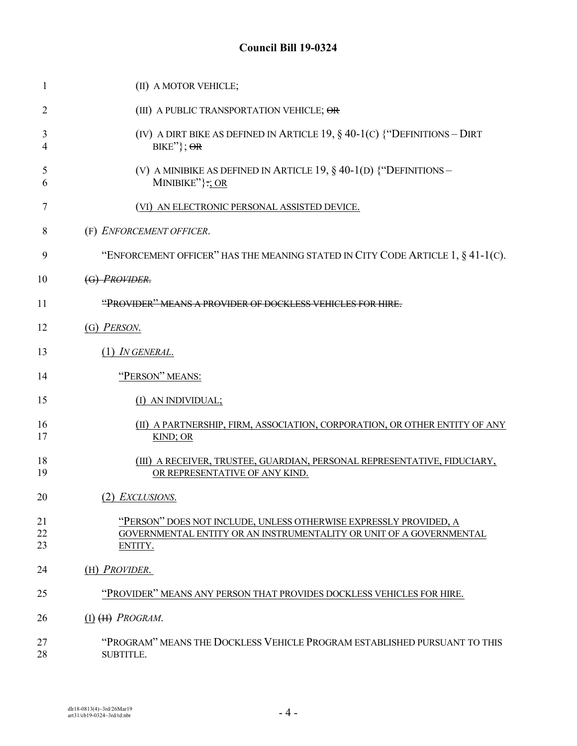| 1              | (II) A MOTOR VEHICLE;                                                                                                                               |
|----------------|-----------------------------------------------------------------------------------------------------------------------------------------------------|
| 2              | (III) A PUBLIC TRANSPORTATION VEHICLE; OR                                                                                                           |
| 3<br>4         | (IV) A DIRT BIKE AS DEFINED IN ARTICLE 19, $\S$ 40-1(C) {"DEFINITIONS - DIRT<br>$BIKE''$ ; $\Theta$ R                                               |
| 5<br>6         | (V) A MINIBIKE AS DEFINED IN ARTICLE 19, $\S$ 40-1(D) $\$ "DEFINITIONS –<br>MINIBIKE" $\}; \Omega$                                                  |
| 7              | (VI) AN ELECTRONIC PERSONAL ASSISTED DEVICE.                                                                                                        |
| 8              | (F) ENFORCEMENT OFFICER.                                                                                                                            |
| 9              | "ENFORCEMENT OFFICER" HAS THE MEANING STATED IN CITY CODE ARTICLE $1, § 41-1(C)$ .                                                                  |
| 10             | (G) PROVIDER.                                                                                                                                       |
| 11             | "PROVIDER" MEANS A PROVIDER OF DOCKLESS VEHICLES FOR HIRE.                                                                                          |
| 12             | (G) PERSON.                                                                                                                                         |
| 13             | $(1)$ IN GENERAL.                                                                                                                                   |
| 14             | "PERSON" MEANS:                                                                                                                                     |
| 15             | (I) AN INDIVIDUAL;                                                                                                                                  |
| 16<br>17       | (II) A PARTNERSHIP, FIRM, ASSOCIATION, CORPORATION, OR OTHER ENTITY OF ANY<br>KIND; OR                                                              |
| 18<br>19       | (III) A RECEIVER, TRUSTEE, GUARDIAN, PERSONAL REPRESENTATIVE, FIDUCIARY,<br>OR REPRESENTATIVE OF ANY KIND.                                          |
| 20             | (2) EXCLUSIONS.                                                                                                                                     |
| 21<br>22<br>23 | "PERSON" DOES NOT INCLUDE, UNLESS OTHERWISE EXPRESSLY PROVIDED, A<br>GOVERNMENTAL ENTITY OR AN INSTRUMENTALITY OR UNIT OF A GOVERNMENTAL<br>ENTITY. |
| 24             | (H) PROVIDER.                                                                                                                                       |
| 25             | "PROVIDER" MEANS ANY PERSON THAT PROVIDES DOCKLESS VEHICLES FOR HIRE.                                                                               |
| 26             | $(I)$ $(H)$ <i>PROGRAM</i> .                                                                                                                        |
| 27<br>28       | "PROGRAM" MEANS THE DOCKLESS VEHICLE PROGRAM ESTABLISHED PURSUANT TO THIS<br>SUBTITLE.                                                              |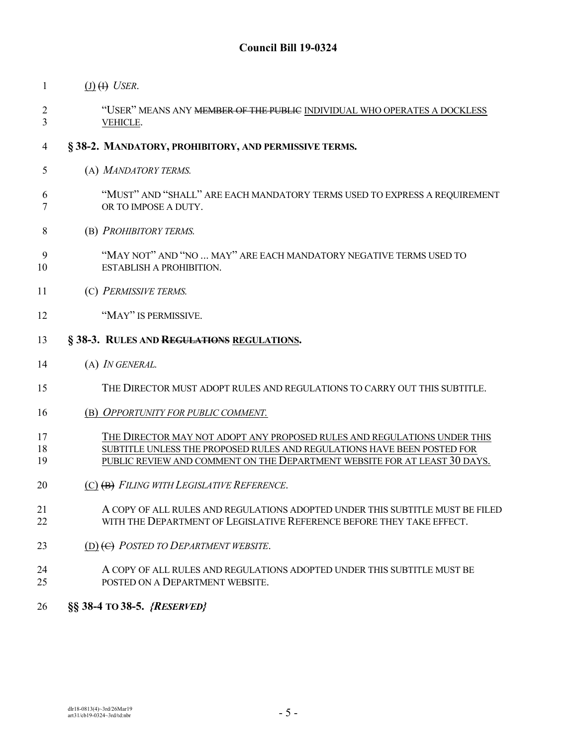- 1  $(J)$   $(H)$  *USER*.
- <sup>2</sup> "USER" MEANS ANY <del>MEMBER OF THE PUBLIC</del> INDIVIDUAL WHO OPERATES A DOCKLESS VEHICLE.
- **§ 38-2. MANDATORY, PROHIBITORY, AND PERMISSIVE TERMS.**
- (A) *MANDATORY TERMS.*
- "MUST" AND "SHALL" ARE EACH MANDATORY TERMS USED TO EXPRESS A REQUIREMENT OR TO IMPOSE A DUTY.
- (B) *PROHIBITORY TERMS.*
- "MAY NOT" AND "NO ... MAY" ARE EACH MANDATORY NEGATIVE TERMS USED TO ESTABLISH A PROHIBITION.
- (C) *PERMISSIVE TERMS.*
- 12 "MAY" IS PERMISSIVE.
- **§ 38-3. RULES AND REGULATIONS REGULATIONS.**
- (A) *IN GENERAL.*
- THE DIRECTOR MUST ADOPT RULES AND REGULATIONS TO CARRY OUT THIS SUBTITLE.
- (B) *OPPORTUNITY FOR PUBLIC COMMENT.*

#### THE DIRECTOR MAY NOT ADOPT ANY PROPOSED RULES AND REGULATIONS UNDER THIS SUBTITLE UNLESS THE PROPOSED RULES AND REGULATIONS HAVE BEEN POSTED FOR PUBLIC REVIEW AND COMMENT ON THE DEPARTMENT WEBSITE FOR AT LEAST 30 DAYS.

- (C) (B) *FILING WITH LEGISLATIVE REFERENCE*.
- A COPY OF ALL RULES AND REGULATIONS ADOPTED UNDER THIS SUBTITLE MUST BE FILED WITH THE DEPARTMENT OF LEGISLATIVE REFERENCE BEFORE THEY TAKE EFFECT.
- (D) (C) *POSTED TO DEPARTMENT WEBSITE*.
- A COPY OF ALL RULES AND REGULATIONS ADOPTED UNDER THIS SUBTITLE MUST BE POSTED ON A DEPARTMENT WEBSITE.
- **§§ 38-4 TO 38-5.** *{RESERVED}*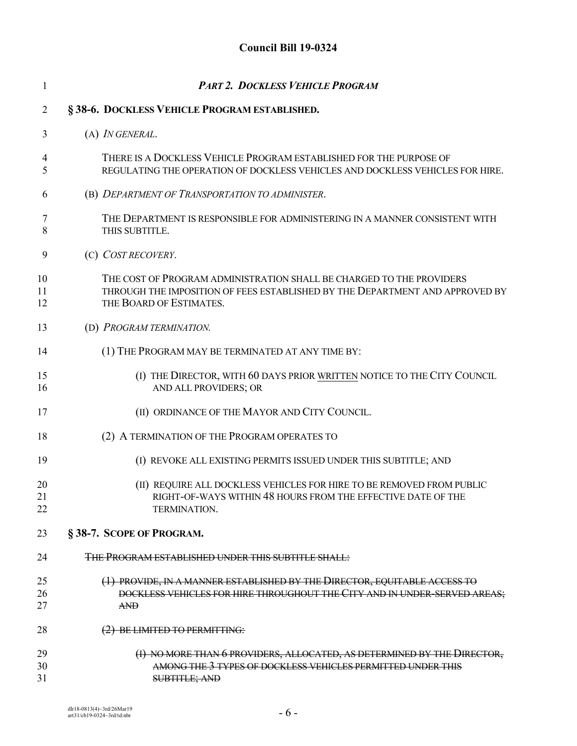| 1              | <b>PART 2. DOCKLESS VEHICLE PROGRAM</b>                                                                                                                                         |
|----------------|---------------------------------------------------------------------------------------------------------------------------------------------------------------------------------|
| $\overline{2}$ | §38-6. DOCKLESS VEHICLE PROGRAM ESTABLISHED.                                                                                                                                    |
| 3              | (A) <i>IN GENERAL</i> .                                                                                                                                                         |
| 4<br>5         | THERE IS A DOCKLESS VEHICLE PROGRAM ESTABLISHED FOR THE PURPOSE OF<br>REGULATING THE OPERATION OF DOCKLESS VEHICLES AND DOCKLESS VEHICLES FOR HIRE.                             |
| 6              | (B) DEPARTMENT OF TRANSPORTATION TO ADMINISTER.                                                                                                                                 |
| 7<br>8         | THE DEPARTMENT IS RESPONSIBLE FOR ADMINISTERING IN A MANNER CONSISTENT WITH<br>THIS SUBTITLE.                                                                                   |
| 9              | (C) COST RECOVERY.                                                                                                                                                              |
| 10<br>11<br>12 | THE COST OF PROGRAM ADMINISTRATION SHALL BE CHARGED TO THE PROVIDERS<br>THROUGH THE IMPOSITION OF FEES ESTABLISHED BY THE DEPARTMENT AND APPROVED BY<br>THE BOARD OF ESTIMATES. |
| 13             | (D) PROGRAM TERMINATION.                                                                                                                                                        |
| 14             | (1) THE PROGRAM MAY BE TERMINATED AT ANY TIME BY:                                                                                                                               |
| 15<br>16       | (I) THE DIRECTOR, WITH 60 DAYS PRIOR WRITTEN NOTICE TO THE CITY COUNCIL<br>AND ALL PROVIDERS; OR                                                                                |
| 17             | (II) ORDINANCE OF THE MAYOR AND CITY COUNCIL.                                                                                                                                   |
| 18             | (2) A TERMINATION OF THE PROGRAM OPERATES TO                                                                                                                                    |
| 19             | (I) REVOKE ALL EXISTING PERMITS ISSUED UNDER THIS SUBTITLE; AND                                                                                                                 |
| 20<br>21<br>22 | (II) REQUIRE ALL DOCKLESS VEHICLES FOR HIRE TO BE REMOVED FROM PUBLIC<br>RIGHT-OF-WAYS WITHIN 48 HOURS FROM THE EFFECTIVE DATE OF THE<br><b>TERMINATION.</b>                    |
| 23             | §38-7. SCOPE OF PROGRAM.                                                                                                                                                        |
| 24             | THE PROGRAM ESTABLISHED UNDER THIS SUBTITLE SHALL:                                                                                                                              |
| 25<br>26<br>27 | (1) PROVIDE, IN A MANNER ESTABLISHED BY THE DIRECTOR, EQUITABLE ACCESS TO<br>DOCKLESS VEHICLES FOR HIRE THROUGHOUT THE CITY AND IN UNDER SERVED AREAS;<br><b>AND</b>            |
| 28             | (2) BE LIMITED TO PERMITTING:                                                                                                                                                   |
| 29<br>30<br>31 | (I) NO MORE THAN 6 PROVIDERS, ALLOCATED, AS DETERMINED BY THE DIRECTOR,<br>AMONG THE 3 TYPES OF DOCKLESS VEHICLES PERMITTED UNDER THIS<br><b>SUBTITLE; AND</b>                  |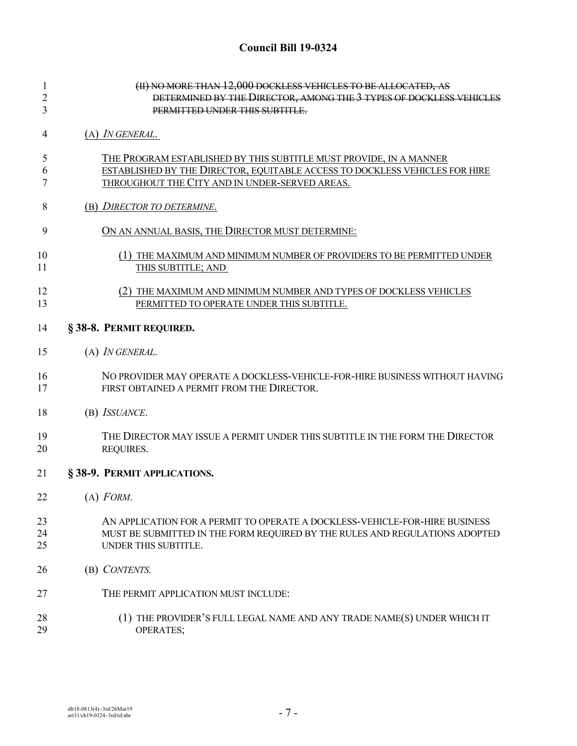| 1<br>$\overline{c}$<br>3 | (II) NO MORE THAN 12,000 DOCKLESS VEHICLES TO BE ALLOCATED, AS<br>DETERMINED BY THE DIRECTOR, AMONG THE 3 TYPES OF DOCKLESS VEHICLES<br>PERMITTED UNDER THIS SUBTITLE. |
|--------------------------|------------------------------------------------------------------------------------------------------------------------------------------------------------------------|
| 4                        | $(A)$ <i>IN GENERAL.</i>                                                                                                                                               |
|                          |                                                                                                                                                                        |
| 5                        | THE PROGRAM ESTABLISHED BY THIS SUBTITLE MUST PROVIDE, IN A MANNER                                                                                                     |
| 6                        | ESTABLISHED BY THE DIRECTOR, EQUITABLE ACCESS TO DOCKLESS VEHICLES FOR HIRE                                                                                            |
| 7                        | THROUGHOUT THE CITY AND IN UNDER-SERVED AREAS.                                                                                                                         |
| 8                        | (B) DIRECTOR TO DETERMINE.                                                                                                                                             |
| 9                        | ON AN ANNUAL BASIS, THE DIRECTOR MUST DETERMINE:                                                                                                                       |
| 10                       | (1) THE MAXIMUM AND MINIMUM NUMBER OF PROVIDERS TO BE PERMITTED UNDER                                                                                                  |
| 11                       | THIS SUBTITLE; AND                                                                                                                                                     |
| 12                       | (2) THE MAXIMUM AND MINIMUM NUMBER AND TYPES OF DOCKLESS VEHICLES                                                                                                      |
| 13                       | PERMITTED TO OPERATE UNDER THIS SUBTITLE.                                                                                                                              |
| 14                       | §38-8. PERMIT REQUIRED.                                                                                                                                                |
| 15                       | (A) IN GENERAL.                                                                                                                                                        |
|                          |                                                                                                                                                                        |
| 16<br>17                 | NO PROVIDER MAY OPERATE A DOCKLESS-VEHICLE-FOR-HIRE BUSINESS WITHOUT HAVING<br>FIRST OBTAINED A PERMIT FROM THE DIRECTOR.                                              |
|                          |                                                                                                                                                                        |
| 18                       | (B) ISSUANCE.                                                                                                                                                          |
| 19                       | THE DIRECTOR MAY ISSUE A PERMIT UNDER THIS SUBTITLE IN THE FORM THE DIRECTOR                                                                                           |
| 20                       | REQUIRES.                                                                                                                                                              |
| 21                       | §38-9. PERMIT APPLICATIONS.                                                                                                                                            |
| 22                       | $(A)$ FORM.                                                                                                                                                            |
| 23                       | AN APPLICATION FOR A PERMIT TO OPERATE A DOCKLESS-VEHICLE-FOR-HIRE BUSINESS                                                                                            |
| 24                       | MUST BE SUBMITTED IN THE FORM REQUIRED BY THE RULES AND REGULATIONS ADOPTED                                                                                            |
| 25                       | UNDER THIS SUBTITLE.                                                                                                                                                   |
| 26                       | (B) CONTENTS.                                                                                                                                                          |
| 27                       | THE PERMIT APPLICATION MUST INCLUDE:                                                                                                                                   |
| 28                       | (1) THE PROVIDER'S FULL LEGAL NAME AND ANY TRADE NAME(S) UNDER WHICH IT                                                                                                |
| 29                       | OPERATES;                                                                                                                                                              |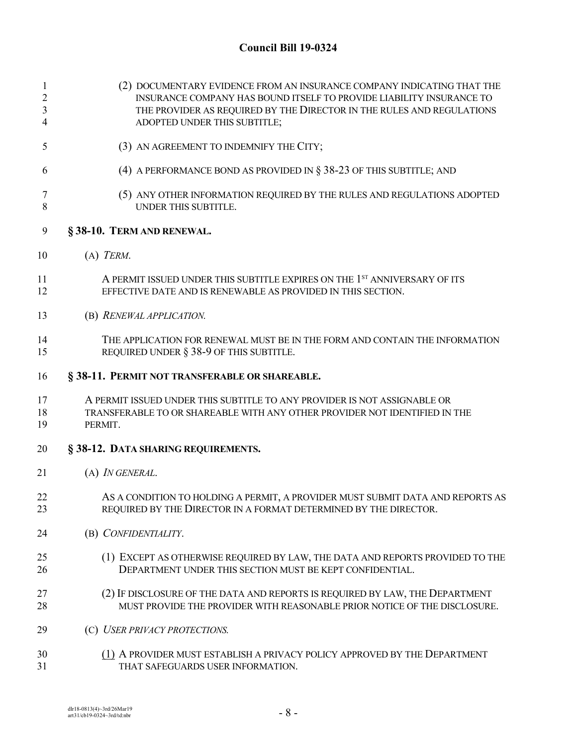| $\mathbf{1}$<br>$\mathfrak{2}$<br>3<br>4 | (2) DOCUMENTARY EVIDENCE FROM AN INSURANCE COMPANY INDICATING THAT THE<br>INSURANCE COMPANY HAS BOUND ITSELF TO PROVIDE LIABILITY INSURANCE TO<br>THE PROVIDER AS REQUIRED BY THE DIRECTOR IN THE RULES AND REGULATIONS<br>ADOPTED UNDER THIS SUBTITLE; |
|------------------------------------------|---------------------------------------------------------------------------------------------------------------------------------------------------------------------------------------------------------------------------------------------------------|
| 5                                        | (3) AN AGREEMENT TO INDEMNIFY THE CITY;                                                                                                                                                                                                                 |
| 6                                        | (4) A PERFORMANCE BOND AS PROVIDED IN $\S$ 38-23 OF THIS SUBTITLE; AND                                                                                                                                                                                  |
| 7<br>$8\,$                               | (5) ANY OTHER INFORMATION REQUIRED BY THE RULES AND REGULATIONS ADOPTED<br>UNDER THIS SUBTITLE.                                                                                                                                                         |
| 9                                        | §38-10. TERM AND RENEWAL.                                                                                                                                                                                                                               |
| 10                                       | $(A)$ TERM.                                                                                                                                                                                                                                             |
| 11<br>12                                 | A PERMIT ISSUED UNDER THIS SUBTITLE EXPIRES ON THE 1 <sup>ST</sup> ANNIVERSARY OF ITS<br>EFFECTIVE DATE AND IS RENEWABLE AS PROVIDED IN THIS SECTION.                                                                                                   |
| 13                                       | (B) RENEWAL APPLICATION.                                                                                                                                                                                                                                |
| 14<br>15                                 | THE APPLICATION FOR RENEWAL MUST BE IN THE FORM AND CONTAIN THE INFORMATION<br>REQUIRED UNDER § 38-9 OF THIS SUBTITLE.                                                                                                                                  |
| 16                                       | § 38-11. PERMIT NOT TRANSFERABLE OR SHAREABLE.                                                                                                                                                                                                          |
| 17<br>18<br>19                           | A PERMIT ISSUED UNDER THIS SUBTITLE TO ANY PROVIDER IS NOT ASSIGNABLE OR<br>TRANSFERABLE TO OR SHAREABLE WITH ANY OTHER PROVIDER NOT IDENTIFIED IN THE<br>PERMIT.                                                                                       |
| 20                                       | § 38-12. DATA SHARING REQUIREMENTS.                                                                                                                                                                                                                     |
| 21                                       | (A) IN GENERAL.                                                                                                                                                                                                                                         |
| 22<br>23                                 | AS A CONDITION TO HOLDING A PERMIT, A PROVIDER MUST SUBMIT DATA AND REPORTS AS<br>REQUIRED BY THE DIRECTOR IN A FORMAT DETERMINED BY THE DIRECTOR.                                                                                                      |
| 24                                       | (B) CONFIDENTIALITY.                                                                                                                                                                                                                                    |
| 25<br>26                                 | (1) EXCEPT AS OTHERWISE REQUIRED BY LAW, THE DATA AND REPORTS PROVIDED TO THE<br>DEPARTMENT UNDER THIS SECTION MUST BE KEPT CONFIDENTIAL.                                                                                                               |
| 27<br>28                                 | (2) IF DISCLOSURE OF THE DATA AND REPORTS IS REQUIRED BY LAW, THE DEPARTMENT<br>MUST PROVIDE THE PROVIDER WITH REASONABLE PRIOR NOTICE OF THE DISCLOSURE.                                                                                               |
| 29                                       | (C) USER PRIVACY PROTECTIONS.                                                                                                                                                                                                                           |
| 30<br>31                                 | (1) A PROVIDER MUST ESTABLISH A PRIVACY POLICY APPROVED BY THE DEPARTMENT<br>THAT SAFEGUARDS USER INFORMATION.                                                                                                                                          |
|                                          |                                                                                                                                                                                                                                                         |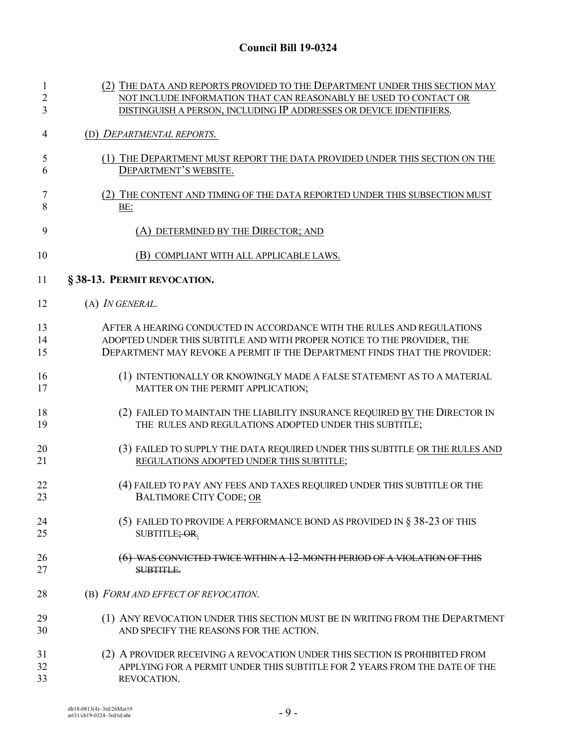| 1              | (2) THE DATA AND REPORTS PROVIDED TO THE DEPARTMENT UNDER THIS SECTION MAY   |
|----------------|------------------------------------------------------------------------------|
| $\overline{2}$ | NOT INCLUDE INFORMATION THAT CAN REASONABLY BE USED TO CONTACT OR            |
| 3              | DISTINGUISH A PERSON, INCLUDING IP ADDRESSES OR DEVICE IDENTIFIERS.          |
| 4              | (D) DEPARTMENTAL REPORTS.                                                    |
| 5              | (1) THE DEPARTMENT MUST REPORT THE DATA PROVIDED UNDER THIS SECTION ON THE   |
| 6              | DEPARTMENT'S WEBSITE.                                                        |
| 7              | (2) THE CONTENT AND TIMING OF THE DATA REPORTED UNDER THIS SUBSECTION MUST   |
| 8              | BE:                                                                          |
| 9              | (A) DETERMINED BY THE DIRECTOR; AND                                          |
| 10             | (B) COMPLIANT WITH ALL APPLICABLE LAWS.                                      |
| 11             | §38-13. PERMIT REVOCATION.                                                   |
| 12             | (A) <i>IN GENERAL</i> .                                                      |
| 13             | AFTER A HEARING CONDUCTED IN ACCORDANCE WITH THE RULES AND REGULATIONS       |
| 14             | ADOPTED UNDER THIS SUBTITLE AND WITH PROPER NOTICE TO THE PROVIDER, THE      |
| 15             | DEPARTMENT MAY REVOKE A PERMIT IF THE DEPARTMENT FINDS THAT THE PROVIDER:    |
| 16             | (1) INTENTIONALLY OR KNOWINGLY MADE A FALSE STATEMENT AS TO A MATERIAL       |
| 17             | MATTER ON THE PERMIT APPLICATION;                                            |
| 18             | (2) FAILED TO MAINTAIN THE LIABILITY INSURANCE REQUIRED BY THE DIRECTOR IN   |
| 19             | THE RULES AND REGULATIONS ADOPTED UNDER THIS SUBTITLE;                       |
| 20             | (3) FAILED TO SUPPLY THE DATA REQUIRED UNDER THIS SUBTITLE OR THE RULES AND  |
| 21             | REGULATIONS ADOPTED UNDER THIS SUBTITLE;                                     |
| 22             | (4) FAILED TO PAY ANY FEES AND TAXES REQUIRED UNDER THIS SUBTITLE OR THE     |
| 23             | <b>BALTIMORE CITY CODE; OR</b>                                               |
| 24             | (5) FAILED TO PROVIDE A PERFORMANCE BOND AS PROVIDED IN $\S$ 38-23 OF THIS   |
| 25             | SUBTITLE; OR.                                                                |
| 26             | WAS CONVICTED TWICE WITHIN A 12-MONTH PERIOD OF A VIOLATION OF THIS          |
| 27             | SUBTITLE.                                                                    |
| 28             | (B) FORM AND EFFECT OF REVOCATION.                                           |
| 29             | (1) ANY REVOCATION UNDER THIS SECTION MUST BE IN WRITING FROM THE DEPARTMENT |
| 30             | AND SPECIFY THE REASONS FOR THE ACTION.                                      |
| 31             | (2) A PROVIDER RECEIVING A REVOCATION UNDER THIS SECTION IS PROHIBITED FROM  |
| 32             | APPLYING FOR A PERMIT UNDER THIS SUBTITLE FOR 2 YEARS FROM THE DATE OF THE   |
| 33             | REVOCATION.                                                                  |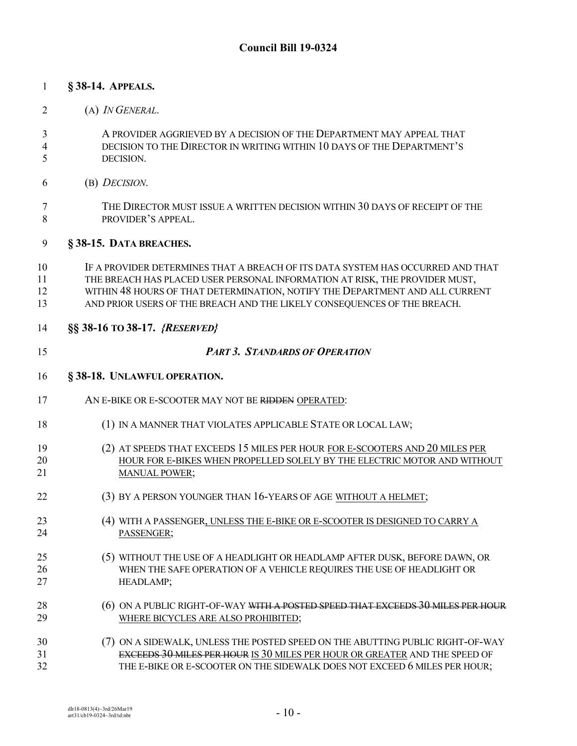### **§ 38-14. APPEALS.**

- (A) *IN GENERAL*.
- A PROVIDER AGGRIEVED BY A DECISION OF THE DEPARTMENT MAY APPEAL THAT DECISION TO THE DIRECTOR IN WRITING WITHIN 10 DAYS OF THE DEPARTMENT'S DECISION.
- (B) *DECISION*.
- THE DIRECTOR MUST ISSUE A WRITTEN DECISION WITHIN 30 DAYS OF RECEIPT OF THE PROVIDER'S APPEAL.

#### **§ 38-15. DATA BREACHES.**

- IF A PROVIDER DETERMINES THAT A BREACH OF ITS DATA SYSTEM HAS OCCURRED AND THAT THE BREACH HAS PLACED USER PERSONAL INFORMATION AT RISK, THE PROVIDER MUST, WITHIN 48 HOURS OF THAT DETERMINATION, NOTIFY THE DEPARTMENT AND ALL CURRENT AND PRIOR USERS OF THE BREACH AND THE LIKELY CONSEQUENCES OF THE BREACH.
- **§§ 38-16 TO 38-17.** *{RESERVED}*
- *PART 3. STANDARDS OF OPERATION*

#### **§ 38-18. UNLAWFUL OPERATION.**

- AN E-BIKE OR E-SCOOTER MAY NOT BE RIDDEN OPERATED:
- (1) IN A MANNER THAT VIOLATES APPLICABLE STATE OR LOCAL LAW;
- (2) AT SPEEDS THAT EXCEEDS 15 MILES PER HOUR FOR E-SCOOTERS AND 20 MILES PER HOUR FOR E-BIKES WHEN PROPELLED SOLELY BY THE ELECTRIC MOTOR AND WITHOUT 21 MANUAL POWER;
- (3) BY A PERSON YOUNGER THAN 16-YEARS OF AGE WITHOUT A HELMET;
- (4) WITH A PASSENGER, UNLESS THE E-BIKE OR E-SCOOTER IS DESIGNED TO CARRY A 24 PASSENGER;
- (5) WITHOUT THE USE OF A HEADLIGHT OR HEADLAMP AFTER DUSK, BEFORE DAWN, OR WHEN THE SAFE OPERATION OF A VEHICLE REQUIRES THE USE OF HEADLIGHT OR HEADLAMP;
- 28 (6) ON A PUBLIC RIGHT-OF-WAY <del>WITH A POSTED SPEED THAT EXCEEDS 30 MILES PER HOUR</del><br>29 WHERE BICYCLES ARE ALSO PROHIBITED. WHERE BICYCLES ARE ALSO PROHIBITED;
- (7) ON A SIDEWALK, UNLESS THE POSTED SPEED ON THE ABUTTING PUBLIC RIGHT-OF-WAY EXCEEDS 30 MILES PER HOUR IS 30 MILES PER HOUR OR GREATER AND THE SPEED OF THE E-BIKE OR E-SCOOTER ON THE SIDEWALK DOES NOT EXCEED 6 MILES PER HOUR;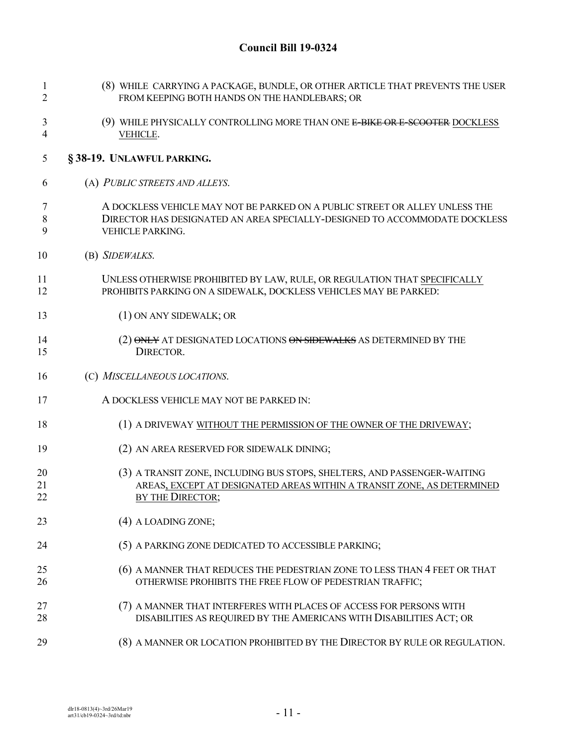| 1<br>$\overline{2}$ | (8) WHILE CARRYING A PACKAGE, BUNDLE, OR OTHER ARTICLE THAT PREVENTS THE USER<br>FROM KEEPING BOTH HANDS ON THE HANDLEBARS; OR                                                |
|---------------------|-------------------------------------------------------------------------------------------------------------------------------------------------------------------------------|
| 3<br>$\overline{4}$ | (9) WHILE PHYSICALLY CONTROLLING MORE THAN ONE E-BIKE OR E-SCOOTER DOCKLESS<br>VEHICLE.                                                                                       |
| 5                   | §38-19. UNLAWFUL PARKING.                                                                                                                                                     |
| 6                   | (A) PUBLIC STREETS AND ALLEYS.                                                                                                                                                |
| 7<br>$\,8\,$<br>9   | A DOCKLESS VEHICLE MAY NOT BE PARKED ON A PUBLIC STREET OR ALLEY UNLESS THE<br>DIRECTOR HAS DESIGNATED AN AREA SPECIALLY-DESIGNED TO ACCOMMODATE DOCKLESS<br>VEHICLE PARKING. |
| 10                  | (B) SIDEWALKS.                                                                                                                                                                |
| 11<br>12            | UNLESS OTHERWISE PROHIBITED BY LAW, RULE, OR REGULATION THAT SPECIFICALLY<br>PROHIBITS PARKING ON A SIDEWALK, DOCKLESS VEHICLES MAY BE PARKED:                                |
| 13                  | (1) ON ANY SIDEWALK; OR                                                                                                                                                       |
| 14<br>15            | (2) ONLY AT DESIGNATED LOCATIONS ON SIDEWALKS AS DETERMINED BY THE<br>DIRECTOR.                                                                                               |
| 16                  | (C) MISCELLANEOUS LOCATIONS.                                                                                                                                                  |
| 17                  | A DOCKLESS VEHICLE MAY NOT BE PARKED IN:                                                                                                                                      |
| 18                  | (1) A DRIVEWAY WITHOUT THE PERMISSION OF THE OWNER OF THE DRIVEWAY;                                                                                                           |
| 19                  | (2) AN AREA RESERVED FOR SIDEWALK DINING;                                                                                                                                     |
| 20<br>21<br>22      | (3) A TRANSIT ZONE, INCLUDING BUS STOPS, SHELTERS, AND PASSENGER-WAITING<br>AREAS, EXCEPT AT DESIGNATED AREAS WITHIN A TRANSIT ZONE, AS DETERMINED<br>BY THE DIRECTOR;        |
| 23                  | (4) A LOADING ZONE;                                                                                                                                                           |
| 24                  | (5) A PARKING ZONE DEDICATED TO ACCESSIBLE PARKING;                                                                                                                           |
| 25<br>26            | (6) A MANNER THAT REDUCES THE PEDESTRIAN ZONE TO LESS THAN 4 FEET OR THAT<br>OTHERWISE PROHIBITS THE FREE FLOW OF PEDESTRIAN TRAFFIC;                                         |
| 27<br>28            | (7) A MANNER THAT INTERFERES WITH PLACES OF ACCESS FOR PERSONS WITH<br>DISABILITIES AS REQUIRED BY THE AMERICANS WITH DISABILITIES ACT; OR                                    |
| 29                  | (8) A MANNER OR LOCATION PROHIBITED BY THE DIRECTOR BY RULE OR REGULATION.                                                                                                    |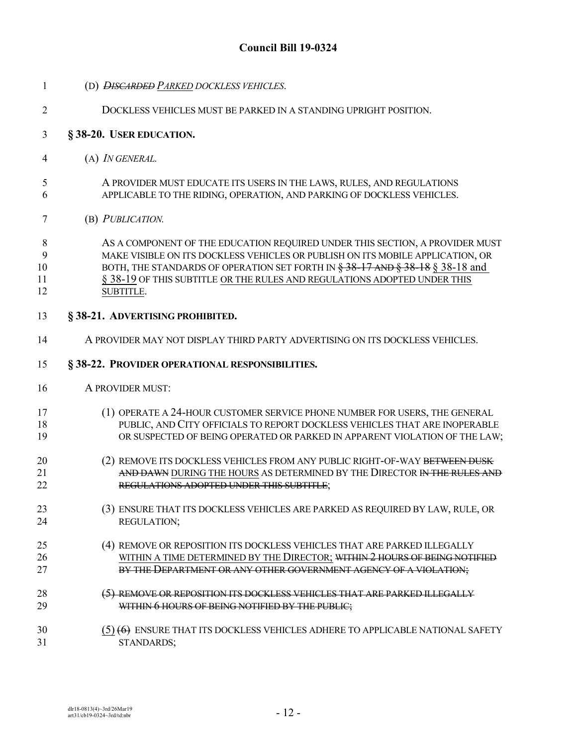- (D) *DISCARDED PARKED DOCKLESS VEHICLES*.
- DOCKLESS VEHICLES MUST BE PARKED IN A STANDING UPRIGHT POSITION.

### **§ 38-20. USER EDUCATION.**

- (A) *IN GENERAL.*
- A PROVIDER MUST EDUCATE ITS USERS IN THE LAWS, RULES, AND REGULATIONS APPLICABLE TO THE RIDING, OPERATION, AND PARKING OF DOCKLESS VEHICLES.
- (B) *PUBLICATION.*

8 AS A COMPONENT OF THE EDUCATION REQUIRED UNDER THIS SECTION, A PROVIDER MUST MAKE VISIBLE ON ITS DOCKLESS VEHICLES OR PUBLISH ON ITS MOBILE APPLICATION, OR 10 BOTH, THE STANDARDS OF OPERATION SET FORTH IN  $\frac{238-17}{200}$  AND  $\frac{38-18}{200}$  § 38-18 and 11 § 38-19 OF THIS SUBTITLE OR THE RULES AND REGULATIONS ADOPTED UNDER THIS SUBTITLE.

### **§ 38-21. ADVERTISING PROHIBITED.**

A PROVIDER MAY NOT DISPLAY THIRD PARTY ADVERTISING ON ITS DOCKLESS VEHICLES.

#### **§ 38-22. PROVIDER OPERATIONAL RESPONSIBILITIES.**

- A PROVIDER MUST:
- (1) OPERATE A 24-HOUR CUSTOMER SERVICE PHONE NUMBER FOR USERS, THE GENERAL PUBLIC, AND CITY OFFICIALS TO REPORT DOCKLESS VEHICLES THAT ARE INOPERABLE OR SUSPECTED OF BEING OPERATED OR PARKED IN APPARENT VIOLATION OF THE LAW;
- 20 (2) REMOVE ITS DOCKLESS VEHICLES FROM ANY PUBLIC RIGHT-OF-WAY BETWEEN DUSK 21 AND DAWN DURING THE HOURS AS DETERMINED BY THE DIRECTOR IN THE RULES AND REGULATIONS ADOPTED UNDER THIS SUBTITLE;
- (3) ENSURE THAT ITS DOCKLESS VEHICLES ARE PARKED AS REQUIRED BY LAW, RULE, OR REGULATION;
- (4) REMOVE OR REPOSITION ITS DOCKLESS VEHICLES THAT ARE PARKED ILLEGALLY 26 WITHIN A TIME DETERMINED BY THE DIRECTOR; WITHIN 2 HOURS OF BEING NOTIFIED 27 BY THE DEPARTMENT OR ANY OTHER GOVERNMENT AGENCY OF A VIOLATION;
- 28 (5) REMOVE OR REPOSITION ITS DOCKLESS VEHICLES THAT ARE PARKED ILLEGALLY 29 WITHIN 6 HOURS OF BEING NOTIFIED BY THE PUBLIC;
- (5) (6) ENSURE THAT ITS DOCKLESS VEHICLES ADHERE TO APPLICABLE NATIONAL SAFETY STANDARDS;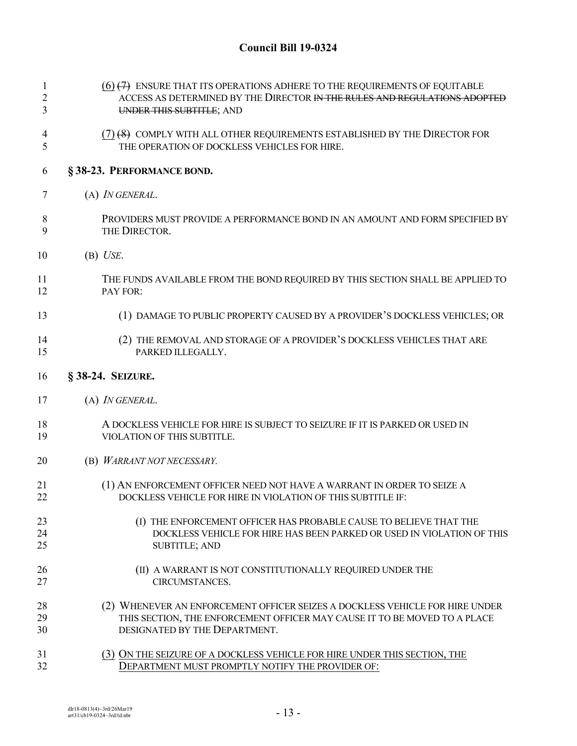| $\mathbf{1}$   | $(6)$ $(7)$ ENSURE THAT ITS OPERATIONS ADHERE TO THE REQUIREMENTS OF EQUITABLE |
|----------------|--------------------------------------------------------------------------------|
| $\overline{c}$ | ACCESS AS DETERMINED BY THE DIRECTOR IN THE RULES AND REGULATIONS ADOPTED      |
| 3              | UNDER THIS SUBTITLE; AND                                                       |
| 4              | $(7)$ $(8)$ COMPLY WITH ALL OTHER REQUIREMENTS ESTABLISHED BY THE DIRECTOR FOR |
| 5              | THE OPERATION OF DOCKLESS VEHICLES FOR HIRE.                                   |
| 6              | §38-23. PERFORMANCE BOND.                                                      |
| 7              | (A) <i>IN GENERAL</i> .                                                        |
| 8              | PROVIDERS MUST PROVIDE A PERFORMANCE BOND IN AN AMOUNT AND FORM SPECIFIED BY   |
| 9              | THE DIRECTOR.                                                                  |
| 10             | $(B)$ <i>USE</i> .                                                             |
| 11             | THE FUNDS AVAILABLE FROM THE BOND REQUIRED BY THIS SECTION SHALL BE APPLIED TO |
| 12             | PAY FOR:                                                                       |
| 13             | (1) DAMAGE TO PUBLIC PROPERTY CAUSED BY A PROVIDER'S DOCKLESS VEHICLES; OR     |
| 14             | (2) THE REMOVAL AND STORAGE OF A PROVIDER'S DOCKLESS VEHICLES THAT ARE         |
| 15             | PARKED ILLEGALLY.                                                              |
| 16             | § 38-24. SEIZURE.                                                              |
| 17             | (A) IN GENERAL.                                                                |
| 18             | A DOCKLESS VEHICLE FOR HIRE IS SUBJECT TO SEIZURE IF IT IS PARKED OR USED IN   |
| 19             | VIOLATION OF THIS SUBTITLE.                                                    |
| 20             | (B) WARRANT NOT NECESSARY.                                                     |
| 21             | (1) AN ENFORCEMENT OFFICER NEED NOT HAVE A WARRANT IN ORDER TO SEIZE A         |
| 22             | DOCKLESS VEHICLE FOR HIRE IN VIOLATION OF THIS SUBTITLE IF:                    |
| 23             | THE ENFORCEMENT OFFICER HAS PROBABLE CAUSE TO BELIEVE THAT THE                 |
| 24             | DOCKLESS VEHICLE FOR HIRE HAS BEEN PARKED OR USED IN VIOLATION OF THIS         |
| 25             | <b>SUBTITLE; AND</b>                                                           |
| 26             | (II) A WARRANT IS NOT CONSTITUTIONALLY REQUIRED UNDER THE                      |
| 27             | CIRCUMSTANCES.                                                                 |
| 28             | (2) WHENEVER AN ENFORCEMENT OFFICER SEIZES A DOCKLESS VEHICLE FOR HIRE UNDER   |
| 29             | THIS SECTION, THE ENFORCEMENT OFFICER MAY CAUSE IT TO BE MOVED TO A PLACE      |
| 30             | DESIGNATED BY THE DEPARTMENT.                                                  |
| 31             | (3) ON THE SEIZURE OF A DOCKLESS VEHICLE FOR HIRE UNDER THIS SECTION, THE      |
| 32             | DEPARTMENT MUST PROMPTLY NOTIFY THE PROVIDER OF:                               |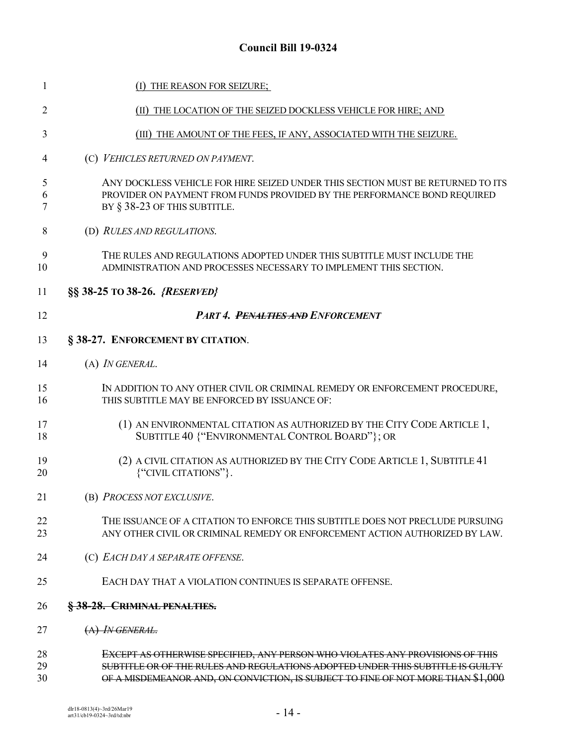| 1              | (I) THE REASON FOR SEIZURE;                                                                                                                                                                                                                         |
|----------------|-----------------------------------------------------------------------------------------------------------------------------------------------------------------------------------------------------------------------------------------------------|
| 2              | (II) THE LOCATION OF THE SEIZED DOCKLESS VEHICLE FOR HIRE; AND                                                                                                                                                                                      |
| 3              | (III) THE AMOUNT OF THE FEES, IF ANY, ASSOCIATED WITH THE SEIZURE.                                                                                                                                                                                  |
| 4              | (C) VEHICLES RETURNED ON PAYMENT.                                                                                                                                                                                                                   |
| 5<br>6<br>7    | ANY DOCKLESS VEHICLE FOR HIRE SEIZED UNDER THIS SECTION MUST BE RETURNED TO ITS<br>PROVIDER ON PAYMENT FROM FUNDS PROVIDED BY THE PERFORMANCE BOND REQUIRED<br>BY § 38-23 OF THIS SUBTITLE.                                                         |
| 8              | (D) RULES AND REGULATIONS.                                                                                                                                                                                                                          |
| 9<br>10        | THE RULES AND REGULATIONS ADOPTED UNDER THIS SUBTITLE MUST INCLUDE THE<br>ADMINISTRATION AND PROCESSES NECESSARY TO IMPLEMENT THIS SECTION.                                                                                                         |
| 11             | §§ 38-25 TO 38-26. {RESERVED}                                                                                                                                                                                                                       |
| 12             | <b>PART 4. PENALTIES AND ENFORCEMENT</b>                                                                                                                                                                                                            |
| 13             | § 38-27. ENFORCEMENT BY CITATION.                                                                                                                                                                                                                   |
| 14             | (A) IN GENERAL.                                                                                                                                                                                                                                     |
| 15<br>16       | IN ADDITION TO ANY OTHER CIVIL OR CRIMINAL REMEDY OR ENFORCEMENT PROCEDURE,<br>THIS SUBTITLE MAY BE ENFORCED BY ISSUANCE OF:                                                                                                                        |
| 17<br>18       | (1) AN ENVIRONMENTAL CITATION AS AUTHORIZED BY THE CITY CODE ARTICLE 1,<br>SUBTITLE 40 {"ENVIRONMENTAL CONTROL BOARD"}; OR                                                                                                                          |
| 19<br>20       | (2) A CIVIL CITATION AS AUTHORIZED BY THE CITY CODE ARTICLE 1, SUBTITLE 41<br>{"CIVIL CITATIONS"}.                                                                                                                                                  |
| 21             | (B) PROCESS NOT EXCLUSIVE.                                                                                                                                                                                                                          |
| 22<br>23       | THE ISSUANCE OF A CITATION TO ENFORCE THIS SUBTITLE DOES NOT PRECLUDE PURSUING<br>ANY OTHER CIVIL OR CRIMINAL REMEDY OR ENFORCEMENT ACTION AUTHORIZED BY LAW.                                                                                       |
| 24             | (C) EACH DAY A SEPARATE OFFENSE.                                                                                                                                                                                                                    |
| 25             | EACH DAY THAT A VIOLATION CONTINUES IS SEPARATE OFFENSE.                                                                                                                                                                                            |
| 26             | § 38-28. CRIMINAL PENALTIES.                                                                                                                                                                                                                        |
| 27             | $(A)$ IN GENERAL.                                                                                                                                                                                                                                   |
| 28<br>29<br>30 | EXCEPT AS OTHERWISE SPECIFIED, ANY PERSON WHO VIOLATES ANY PROVISIONS OF THIS<br>SUBTITLE OR OF THE RULES AND REGULATIONS ADOPTED UNDER THIS SUBTITLE IS GUILTY<br>OF A MISDEMEANOR AND, ON CONVICTION, IS SUBJECT TO FINE OF NOT MORE THAN \$1,000 |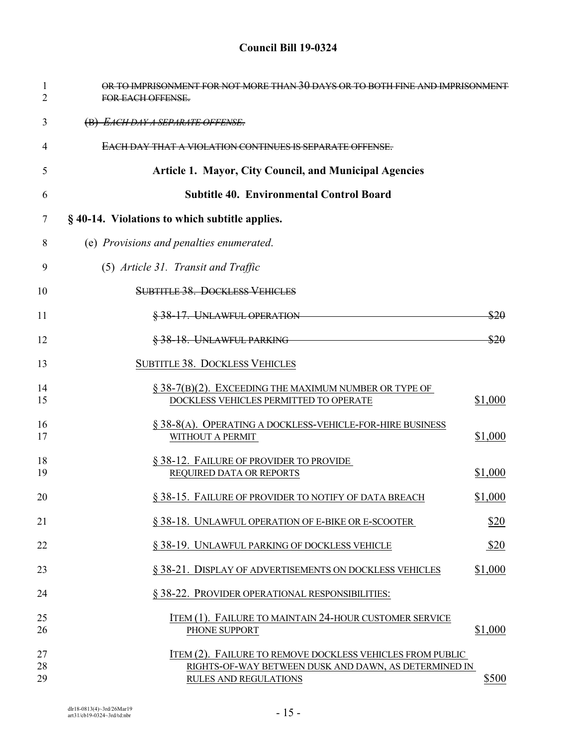| $\mathbf{1}$<br>2 | OR TO IMPRISONMENT FOR NOT MORE THAN 30 DAYS OR TO BOTH FINE AND IMPRISONMENT<br><b>FOR EACH OFFENSE.</b>          |
|-------------------|--------------------------------------------------------------------------------------------------------------------|
| 3                 | (B) EACH DAY A SEPARATE OFFENSE.                                                                                   |
| 4                 | <u>EACH DAY THAT A VIOLATION CONTINUES IS SEPARATE OFFENSE.</u>                                                    |
| 5                 | <b>Article 1. Mayor, City Council, and Municipal Agencies</b>                                                      |
| 6                 | <b>Subtitle 40. Environmental Control Board</b>                                                                    |
| 7                 | § 40-14. Violations to which subtitle applies.                                                                     |
| 8                 | (e) Provisions and penalties enumerated.                                                                           |
| 9                 | (5) Article 31. Transit and Traffic                                                                                |
| 10                | <b>SUBTITLE 38. DOCKLESS VEHICLES</b>                                                                              |
| 11                | § 38-17. UNLAWFUL OPERATION<br>\$20                                                                                |
| 12                | § 38-18. UNLAWFUL PARKING<br>\$20                                                                                  |
| 13                | <b>SUBTITLE 38. DOCKLESS VEHICLES</b>                                                                              |
| 14<br>15          | $\S$ 38-7(B)(2). EXCEEDING THE MAXIMUM NUMBER OR TYPE OF<br>\$1,000<br>DOCKLESS VEHICLES PERMITTED TO OPERATE      |
| 16<br>17          | § 38-8(A). OPERATING A DOCKLESS-VEHICLE-FOR-HIRE BUSINESS<br>\$1,000<br>WITHOUT A PERMIT                           |
| 18<br>19          | § 38-12. FAILURE OF PROVIDER TO PROVIDE<br>\$1,000<br>REQUIRED DATA OR REPORTS                                     |
| 20                | § 38-15. FAILURE OF PROVIDER TO NOTIFY OF DATA BREACH<br>\$1,000                                                   |
| 21                | \$20<br>§ 38-18. UNLAWFUL OPERATION OF E-BIKE OR E-SCOOTER                                                         |
| 22                | \$20<br>§ 38-19. UNLAWFUL PARKING OF DOCKLESS VEHICLE                                                              |
| 23                | \$1,000<br>§ 38-21. DISPLAY OF ADVERTISEMENTS ON DOCKLESS VEHICLES                                                 |
| 24                | § 38-22. PROVIDER OPERATIONAL RESPONSIBILITIES:                                                                    |
| 25<br>26          | ITEM (1). FAILURE TO MAINTAIN 24-HOUR CUSTOMER SERVICE<br>\$1,000<br>PHONE SUPPORT                                 |
| 27<br>28          | ITEM (2). FAILURE TO REMOVE DOCKLESS VEHICLES FROM PUBLIC<br>RIGHTS-OF-WAY BETWEEN DUSK AND DAWN, AS DETERMINED IN |
| 29                | RULES AND REGULATIONS<br>\$500                                                                                     |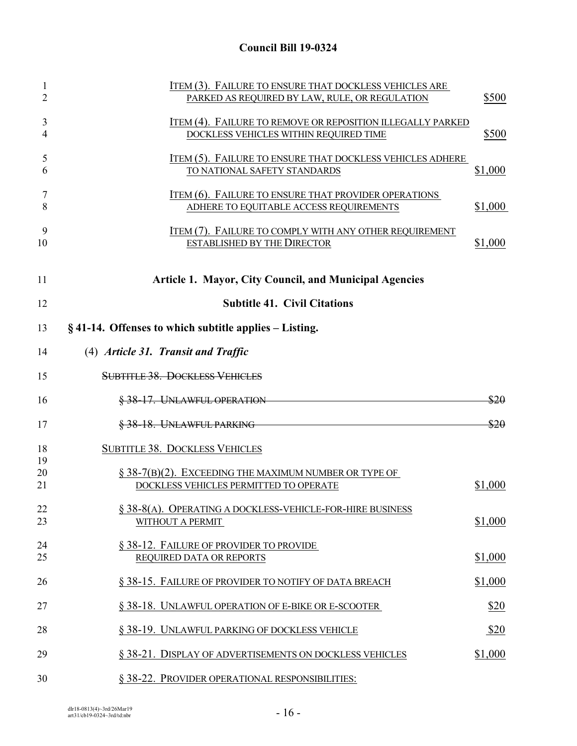| 1<br>$\overline{2}$ | ITEM (3). FAILURE TO ENSURE THAT DOCKLESS VEHICLES ARE<br>PARKED AS REQUIRED BY LAW, RULE, OR REGULATION | \$500   |
|---------------------|----------------------------------------------------------------------------------------------------------|---------|
| 3<br>4              | ITEM (4). FAILURE TO REMOVE OR REPOSITION ILLEGALLY PARKED<br>DOCKLESS VEHICLES WITHIN REQUIRED TIME     | \$500   |
| 5<br>6              | ITEM (5). FAILURE TO ENSURE THAT DOCKLESS VEHICLES ADHERE<br>TO NATIONAL SAFETY STANDARDS                | \$1,000 |
| 7<br>8              | <b>ITEM (6). FAILURE TO ENSURE THAT PROVIDER OPERATIONS</b><br>ADHERE TO EQUITABLE ACCESS REQUIREMENTS   | \$1,000 |
| 9<br>10             | <b>ITEM (7). FAILURE TO COMPLY WITH ANY OTHER REQUIREMENT</b><br><b>ESTABLISHED BY THE DIRECTOR</b>      | \$1,000 |
| 11                  | <b>Article 1. Mayor, City Council, and Municipal Agencies</b>                                            |         |
| 12                  | <b>Subtitle 41. Civil Citations</b>                                                                      |         |
| 13                  | $\S$ 41-14. Offenses to which subtitle applies – Listing.                                                |         |
| 14                  | (4) Article 31. Transit and Traffic                                                                      |         |
| 15                  | <b>SUBTITLE 38. DOCKLESS VEHICLES</b>                                                                    |         |
| 16                  | § 38-17. UNLAWFUL OPERATION                                                                              | \$20    |
| 17                  | § 38-18. UNLAWFUL PARKING                                                                                | \$20    |
| 18                  | <b>SUBTITLE 38. DOCKLESS VEHICLES</b>                                                                    |         |
| 19<br>20            |                                                                                                          |         |
| 21                  | $\S$ 38-7(B)(2). EXCEEDING THE MAXIMUM NUMBER OR TYPE OF<br>DOCKLESS VEHICLES PERMITTED TO OPERATE       | \$1,000 |
| 22                  | $\S$ 38-8(A). OPERATING A DOCKLESS-VEHICLE-FOR-HIRE BUSINESS                                             |         |
| 23                  | WITHOUT A PERMIT                                                                                         | \$1,000 |
| 24                  | § 38-12. FAILURE OF PROVIDER TO PROVIDE                                                                  |         |
| 25                  | REQUIRED DATA OR REPORTS                                                                                 | \$1,000 |
| 26                  | § 38-15. FAILURE OF PROVIDER TO NOTIFY OF DATA BREACH                                                    | \$1,000 |
| 27                  | § 38-18. UNLAWFUL OPERATION OF E-BIKE OR E-SCOOTER                                                       | \$20    |
| 28                  | § 38-19. UNLAWFUL PARKING OF DOCKLESS VEHICLE                                                            | \$20    |
| 29                  | § 38-21. DISPLAY OF ADVERTISEMENTS ON DOCKLESS VEHICLES                                                  | \$1,000 |
| 30                  | § 38-22. PROVIDER OPERATIONAL RESPONSIBILITIES:                                                          |         |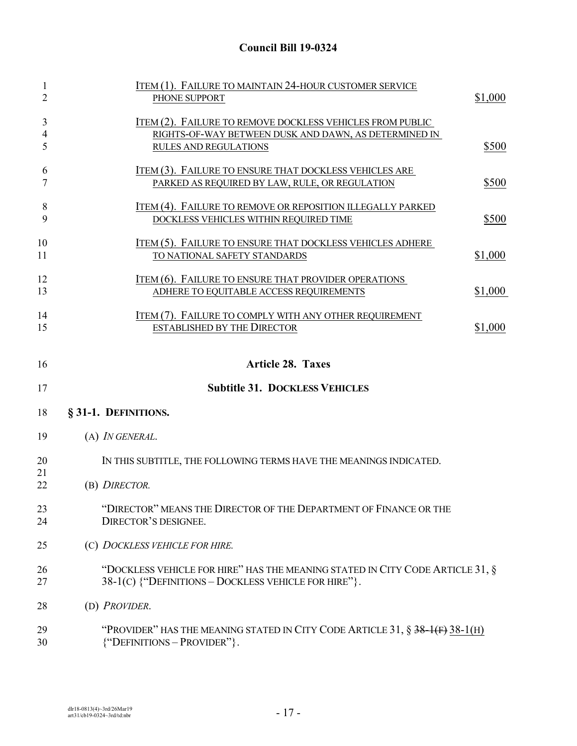| $\mathbf{1}$   | ITEM (1). FAILURE TO MAINTAIN 24-HOUR CUSTOMER SERVICE                          |         |
|----------------|---------------------------------------------------------------------------------|---------|
| $\overline{2}$ | PHONE SUPPORT                                                                   | \$1,000 |
| 3              | <b>ITEM (2). FAILURE TO REMOVE DOCKLESS VEHICLES FROM PUBLIC</b>                |         |
| 4              | RIGHTS-OF-WAY BETWEEN DUSK AND DAWN, AS DETERMINED IN                           |         |
| 5              | <b>RULES AND REGULATIONS</b>                                                    | \$500   |
|                |                                                                                 |         |
| 6              | ITEM (3). FAILURE TO ENSURE THAT DOCKLESS VEHICLES ARE                          |         |
| 7              | PARKED AS REQUIRED BY LAW, RULE, OR REGULATION                                  | \$500   |
|                |                                                                                 |         |
| 8              | ITEM (4). FAILURE TO REMOVE OR REPOSITION ILLEGALLY PARKED                      |         |
| 9              | DOCKLESS VEHICLES WITHIN REQUIRED TIME                                          | \$500   |
|                |                                                                                 |         |
| 10             | <u>ITEM (5). FAILURE TO ENSURE THAT DOCKLESS VEHICLES ADHERE</u>                |         |
| 11             | TO NATIONAL SAFETY STANDARDS                                                    | \$1,000 |
|                |                                                                                 |         |
| 12             | <b>ITEM (6). FAILURE TO ENSURE THAT PROVIDER OPERATIONS</b>                     |         |
| 13             | ADHERE TO EQUITABLE ACCESS REQUIREMENTS                                         | \$1,000 |
|                |                                                                                 |         |
| 14             | ITEM (7). FAILURE TO COMPLY WITH ANY OTHER REQUIREMENT                          |         |
| 15             | <b>ESTABLISHED BY THE DIRECTOR</b>                                              | \$1,000 |
|                |                                                                                 |         |
| 16             | <b>Article 28. Taxes</b>                                                        |         |
| 17             | <b>Subtitle 31. DOCKLESS VEHICLES</b>                                           |         |
| 18             | § 31-1. DEFINITIONS.                                                            |         |
|                |                                                                                 |         |
| 19             | (A) IN GENERAL.                                                                 |         |
| 20             | IN THIS SUBTITLE, THE FOLLOWING TERMS HAVE THE MEANINGS INDICATED.              |         |
| 21             |                                                                                 |         |
| 22             | (B) DIRECTOR.                                                                   |         |
|                |                                                                                 |         |
| 23             | "DIRECTOR" MEANS THE DIRECTOR OF THE DEPARTMENT OF FINANCE OR THE               |         |
| 24             | DIRECTOR'S DESIGNEE.                                                            |         |
|                |                                                                                 |         |
| 25             | (C) DOCKLESS VEHICLE FOR HIRE.                                                  |         |
|                |                                                                                 |         |
| 26             | "DOCKLESS VEHICLE FOR HIRE" HAS THE MEANING STATED IN CITY CODE ARTICLE 31, §   |         |
| 27             | 38-1(C) {"DEFINITIONS - DOCKLESS VEHICLE FOR HIRE"}.                            |         |
| 28             | (D) PROVIDER.                                                                   |         |
| 29             | "PROVIDER" HAS THE MEANING STATED IN CITY CODE ARTICLE 31, $\S$ 38-1(F) 38-1(H) |         |
| 30             | ${``DEFINITIONS - PROVIDER''}.$                                                 |         |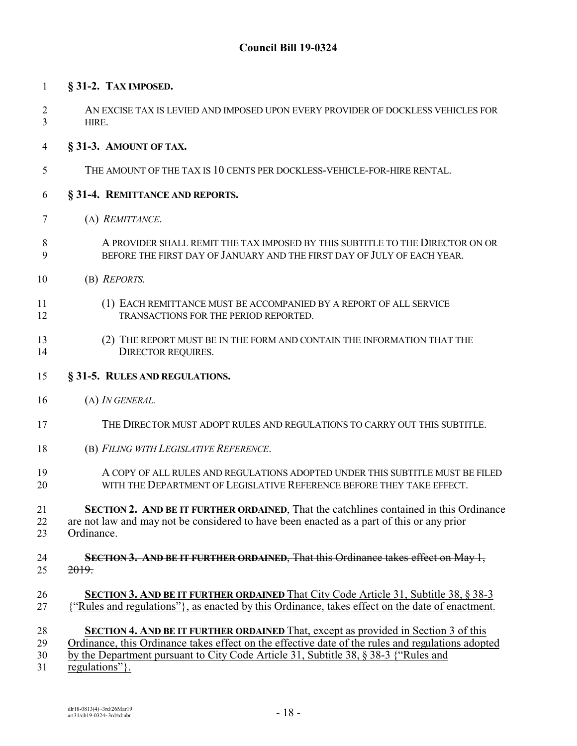### **§ 31-2. TAX IMPOSED.**

 AN EXCISE TAX IS LEVIED AND IMPOSED UPON EVERY PROVIDER OF DOCKLESS VEHICLES FOR HIRE.

#### **§ 31-3. AMOUNT OF TAX.**

THE AMOUNT OF THE TAX IS 10 CENTS PER DOCKLESS-VEHICLE-FOR-HIRE RENTAL.

#### **§ 31-4. REMITTANCE AND REPORTS.**

- (A) *REMITTANCE*.
- A PROVIDER SHALL REMIT THE TAX IMPOSED BY THIS SUBTITLE TO THE DIRECTOR ON OR BEFORE THE FIRST DAY OF JANUARY AND THE FIRST DAY OF JULY OF EACH YEAR.
- (B) *REPORTS*.
- (1) EACH REMITTANCE MUST BE ACCOMPANIED BY A REPORT OF ALL SERVICE TRANSACTIONS FOR THE PERIOD REPORTED.
- (2) THE REPORT MUST BE IN THE FORM AND CONTAIN THE INFORMATION THAT THE 14 DIRECTOR REQUIRES.
- **§ 31-5. RULES AND REGULATIONS.**
- (A) *IN GENERAL.*
- THE DIRECTOR MUST ADOPT RULES AND REGULATIONS TO CARRY OUT THIS SUBTITLE.
- (B) *FILING WITH LEGISLATIVE REFERENCE*.
- 19 A COPY OF ALL RULES AND REGULATIONS ADOPTED UNDER THIS SUBTITLE MUST BE FILED<br>20 THE THE DEPARTMENT OF LEGISLATIVE REFERENCE BEFORE THEY TAKE EFFECT WITH THE DEPARTMENT OF LEGISLATIVE REFERENCE BEFORE THEY TAKE EFFECT.
- **SECTION 2. AND BE IT FURTHER ORDAINED**, That the catchlines contained in this Ordinance are not law and may not be considered to have been enacted as a part of this or any prior Ordinance.
- **SECTION 3. AND BE IT FURTHER ORDAINED**, That this Ordinance takes effect on May 1,  $25 \frac{2019}{2019}$
- **SECTION 3. AND BE IT FURTHER ORDAINED** That City Code Article 31, Subtitle 38, § 38-3 {"Rules and regulations"}, as enacted by this Ordinance, takes effect on the date of enactment.
- **SECTION 4. AND BE IT FURTHER ORDAINED** That, except as provided in Section 3 of this
- Ordinance, this Ordinance takes effect on the effective date of the rules and regulations adopted
- by the Department pursuant to City Code Article 31, Subtitle 38, § 38-3 {"Rules and
- regulations"}.